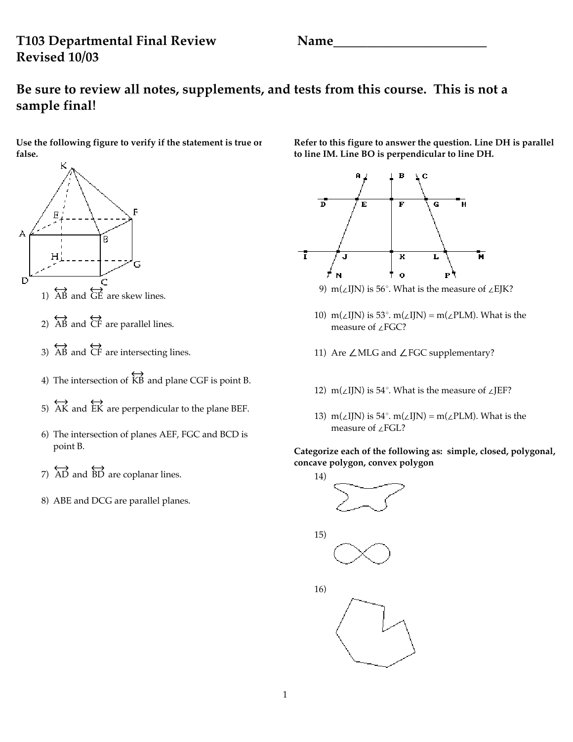## **T103 Departmental Final Review Name\_\_\_\_\_\_\_\_\_\_\_\_\_\_\_\_\_\_\_\_\_\_\_ Revised 10/03**

# **Be sure to review all notes, supplements, and tests from this course. This is not a sample final!**

**Use the following figure to verify if the statement is true or false.**



- 1)  $\overleftrightarrow{AB}$  and  $\overleftrightarrow{GE}$  are skew lines.
- 2)  $\overleftrightarrow{AB}$  and  $\overleftrightarrow{CF}$  are parallel lines.
- 3) AB and  $\overleftrightarrow{CF}$  are intersecting lines.
- 4) The intersection of  $\overleftrightarrow{KB}$  and plane CGF is point B.
- 5) AK and EK are perpendicular to the plane BEF.
- 6) The intersection of planes AEF, FGC and BCD is point B.
- 7)  $\overleftrightarrow{AD}$  and  $\overleftrightarrow{BD}$  are coplanar lines.
- 8) ABE and DCG are parallel planes.

**Refer to this figure to answer the question. Line DH is parallel to line IM. Line BO is perpendicular to line DH.**



- 9) m( $\angle$ IJN) is 56°. What is the measure of  $\angle$ EJK?
- 10) m( $\angle$ IJN) is 53°. m( $\angle$ IJN) = m( $\angle$ PLM). What is the measure of  $\angle$ FGC?
- 11) Are  $\angle$  MLG and  $\angle$  FGC supplementary?
- 12) m( $\angle$ IJN) is 54°. What is the measure of  $\angle$ JEF?
- 13) m( $\angle$ IJN) is 54°. m( $\angle$ IJN) = m( $\angle$ PLM). What is the measure of  $\angle$ FGL?

### **Categorize each of the following as: simple, closed, polygonal, concave polygon, convex polygon**





16)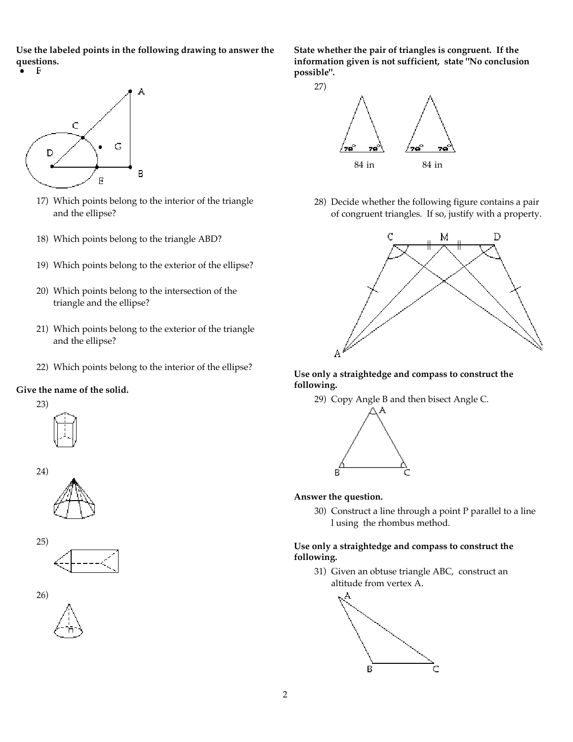**Use the labeled points in the following drawing to answer the questions.**



- 17) Which points belong to the interior of the triangle and the ellipse?
- 18) Which points belong to the triangle ABD?
- 19) Which points belong to the exterior of the ellipse?
- 20) Which points belong to the intersection of the triangle and the ellipse?
- 21) Which points belong to the exterior of the triangle and the ellipse?
- 22) Which points belong to the interior of the ellipse?

#### **Give the name of the solid.**











**State whether the pair of triangles is congruent. If the information given is not sufficient, state "No conclusion possible".**



28) Decide whether the following figure contains a pair of congruent triangles. If so, justify with a property.



**Use only a straightedge and compass to construct the following.**

29) Copy Angle B and then bisect Angle C.



#### **Answer the question.**

30) Construct a line through a point P parallel to a line l using the rhombus method.

#### **Use only a straightedge and compass to construct the following.**

31) Given an obtuse triangle ABC, construct an altitude from vertex A.

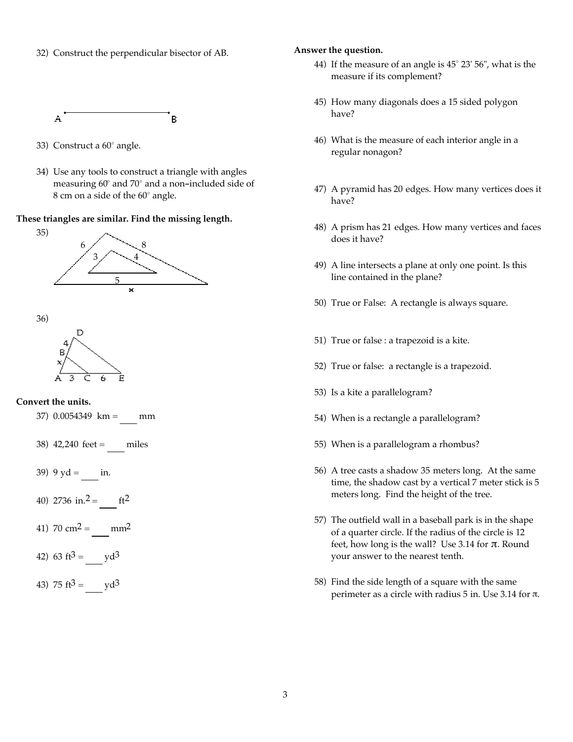32) Construct the perpendicular bisector of AB.

A B

- 33) Construct a  $60^\circ$  angle.
- 34) Use any tools to construct a triangle with angles measuring  $60^{\circ}$  and  $70^{\circ}$  and a non-included side of 8 cm on a side of the 60° angle.

#### **These triangles are similar. Find the missing length.**



36)



#### **Convert the units.**

- 37) 0.0054349 km = mm
- 38) 42,240 feet = miles
- 39) 9  $yd = \text{in.}$
- 40) 2736 in.<sup>2</sup> = ft<sup>2</sup>
- 41)  $70 \text{ cm}^2 = \text{mm}^2$
- 42)  $63 \text{ ft}^3 = \text{yd}^3$
- 43) 75 ft $3 =$  yd $3 =$

#### **Answer the question.**

- 44) If the measure of an angle is  $45^{\circ}$  23' 56", what is the measure if its complement?
- 45) How many diagonals does a 15 sided polygon have?
- 46) What is the measure of each interior angle in a regular nonagon?
- 47) A pyramid has 20 edges. How many vertices does it have?
- 48) A prism has 21 edges. How many vertices and faces does it have?
- 49) A line intersects a plane at only one point. Is this line contained in the plane?
- 50) True or False: A rectangle is always square.
- 51) True or false : a trapezoid is a kite.
- 52) True or false: a rectangle is a trapezoid.
- 53) Is a kite a parallelogram?
- 54) When is a rectangle a parallelogram?
- 55) When is a parallelogram a rhombus?
- 56) A tree casts a shadow 35 meters long. At the same time, the shadow cast by a vertical 7 meter stick is 5 meters long. Find the height of the tree.
- 57) The outfield wall in a baseball park is in the shape of a quarter circle. If the radius of the circle is 12 feet, how long is the wall? Use 3.14 for  $\pi$ . Round your answer to the nearest tenth.
- 58) Find the side length of a square with the same perimeter as a circle with radius  $5$  in. Use 3.14 for  $\pi$ .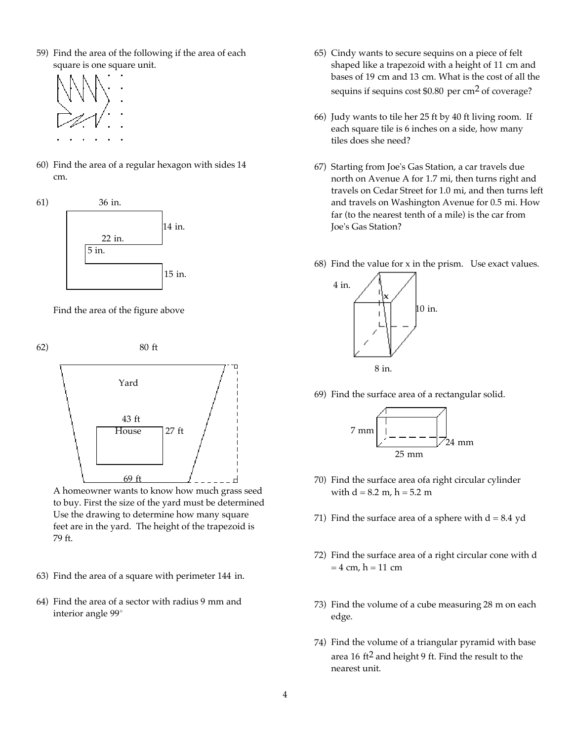59) Find the area of the following if the area of each square is one square unit.



60) Find the area of a regular hexagon with sides 14 cm.







to buy. First the size of the yard must be determined Use the drawing to determine how many square feet are in the yard. The height of the trapezoid is 79 ft.

- 63) Find the area of a square with perimeter 144 in.
- 64) Find the area of a sector with radius 9 mm and interior angle 99°
- 65) Cindy wants to secure sequins on a piece of felt shaped like a trapezoid with a height of 11 cm and bases of 19 cm and 13 cm. What is the cost of all the sequins if sequins cost \$0.80 per cm<sup>2</sup> of coverage?
- 66) Judy wants to tile her 25 ft by 40 ft living room. If each square tile is 6 inches on a side, how many tiles does she need?
- 67) Starting from Joe's Gas Station, a car travels due north on Avenue A for 1.7 mi, then turns right and travels on Cedar Street for 1.0 mi, and then turns left and travels on Washington Avenue for 0.5 mi. How far (to the nearest tenth of a mile) is the car from Joe's Gas Station?
- 68) Find the value for x in the prism. Use exact values.



69) Find the surface area of a rectangular solid.



- 70) Find the surface area ofa right circular cylinder with  $d = 8.2$  m,  $h = 5.2$  m
- 71) Find the surface area of a sphere with  $d = 8.4$  yd
- 72) Find the surface area of a right circular cone with d  $= 4$  cm,  $h = 11$  cm
- 73) Find the volume of a cube measuring 28 m on each edge.
- 74) Find the volume of a triangular pyramid with base area 16 ft2 and height 9 ft. Find the result to the nearest unit.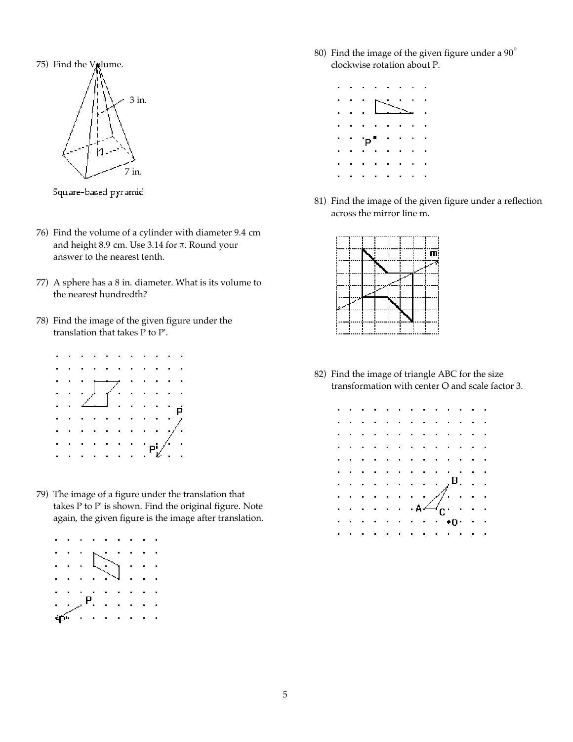

Square-based pyramid

- 76) Find the volume of a cylinder with diameter 9.4 cm and height 8.9 cm. Use 3.14 for  $\pi$ . Round your answer to the nearest tenth.
- 77) A sphere has a 8 in. diameter. What is its volume to the nearest hundredth?
- 78) Find the image of the given figure under the translation that takes P to P'.

|  | $\mathbb{H}^1_0(\mathbb{Z}_2)$ |  |              |  |                 |                                                                                                                                                                                                                                                                                                                                             |
|--|--------------------------------|--|--------------|--|-----------------|---------------------------------------------------------------------------------------------------------------------------------------------------------------------------------------------------------------------------------------------------------------------------------------------------------------------------------------------|
|  |                                |  |              |  | $\sim$ 10 $\pm$ |                                                                                                                                                                                                                                                                                                                                             |
|  |                                |  |              |  |                 |                                                                                                                                                                                                                                                                                                                                             |
|  |                                |  |              |  |                 |                                                                                                                                                                                                                                                                                                                                             |
|  |                                |  |              |  |                 |                                                                                                                                                                                                                                                                                                                                             |
|  |                                |  |              |  |                 | $\begin{picture}(180,170)(-10,0) \put(0,0){\line(1,0){150}} \put(10,0){\line(1,0){150}} \put(10,0){\line(1,0){150}} \put(10,0){\line(1,0){150}} \put(10,0){\line(1,0){150}} \put(10,0){\line(1,0){150}} \put(10,0){\line(1,0){150}} \put(10,0){\line(1,0){150}} \put(10,0){\line(1,0){150}} \put(10,0){\line(1,0){150}} \put(10,0){\line(1$ |
|  |                                |  | and a series |  |                 |                                                                                                                                                                                                                                                                                                                                             |

79) The image of a figure under the translation that takes P to P' is shown. Find the original figure. Note again, the given figure is the image after translation.



80) Find the image of the given figure under a  $90^{\circ}$ clockwise rotation about P.



81) Find the image of the given figure under a reflection across the mirror line m.



82) Find the image of triangle ABC for the size transformation with center O and scale factor 3.

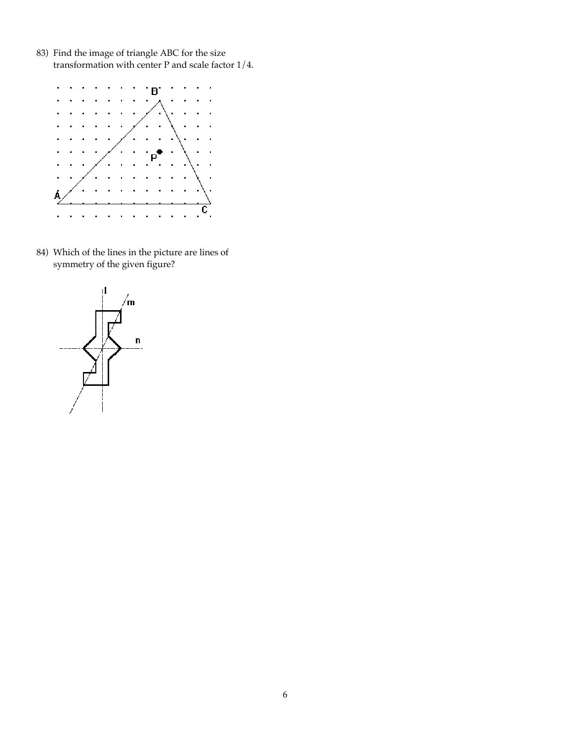83) Find the image of triangle ABC for the size transformation with center P and scale factor 1/4.



84) Which of the lines in the picture are lines of symmetry of the given figure?

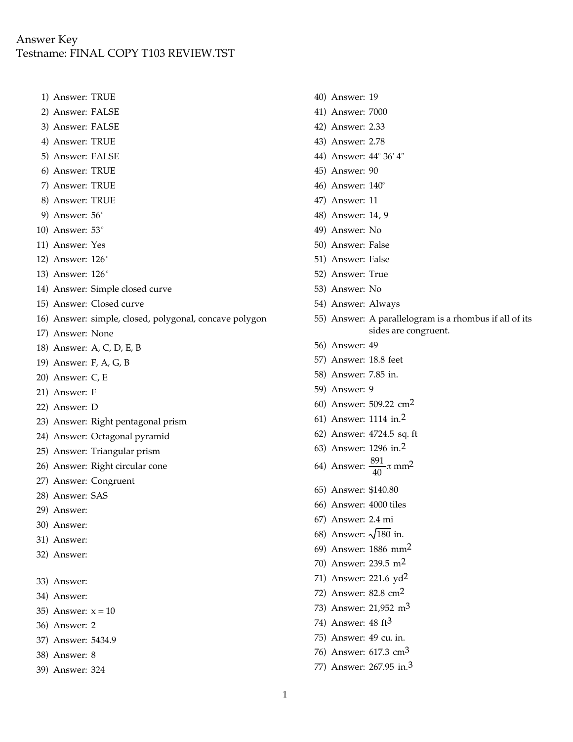### Answer Key Testname: FINAL COPY T103 REVIEW.TST

- 1) Answer: TRUE
- 2) Answer: FALSE
- 3) Answer: FALSE
- 4) Answer: TRUE
- 5) Answer: FALSE
- 6) Answer: TRUE
- 7) Answer: TRUE
- 8) Answer: TRUE
- 9) Answer:  $56^\circ$
- 10) Answer:  $53^\circ$
- 11) Answer: Yes
- 12) Answer: 126°
- 13) Answer: 126°
- 14) Answer: Simple closed curve
- 15) Answer: Closed curve
- 16) Answer: simple, closed, polygonal, concave polygon
- 17) Answer: None
- 18) Answer: A, C, D, E, B
- 19) Answer: F, A, G, B
- 20) Answer: C, E
- 21) Answer: F
- 22) Answer: D
- 23) Answer: Right pentagonal prism
- 24) Answer: Octagonal pyramid
- 25) Answer: Triangular prism
- 26) Answer: Right circular cone
- 27) Answer: Congruent
- 28) Answer: SAS
- 29) Answer:
- 30) Answer:
- 31) Answer:
- 32) Answer:
- 33) Answer:
- 34) Answer:
- 35) Answer:  $x = 10$
- 36) Answer: 2
- 37) Answer: 5434.9
- 38) Answer: 8
- 39) Answer: 324
- 40) Answer: 19
- 41) Answer: 7000
- 42) Answer: 2.33
- 43) Answer: 2.78
- 44) Answer: 44° 36' 4"
- 45) Answer: 90
- 46) Answer:  $140^\circ$
- 47) Answer: 11
- 48) Answer: 14, 9
- 49) Answer: No
- 50) Answer: False
- 51) Answer: False
- 52) Answer: True
- 53) Answer: No
- 54) Answer: Always
- 55) Answer: A parallelogram is a rhombus if all of its sides are congruent.
- 56) Answer: 49
- 57) Answer: 18.8 feet
- 58) Answer: 7.85 in.
- 59) Answer: 9
- 60) Answer: 509.22 cm2
- 61) Answer: 1114 in.2
- 62) Answer: 4724.5 sq. ft
- 63) Answer: 1296 in.2
- 64) Answer:  $\frac{891}{40}\pi$  mm<sup>2</sup>
- 65) Answer: \$140.80
- 66) Answer: 4000 tiles
- 67) Answer: 2.4 mi
- 68) Answer:  $\sqrt{180}$  in.
- 69) Answer: 1886 mm2
- 70) Answer: 239.5 m2
- 71) Answer: 221.6 yd2
- 72) Answer: 82.8 cm2
- 73) Answer: 21,952 m3
- 74) Answer: 48 ft3
- 75) Answer: 49 cu. in.
- 76) Answer: 617.3 cm3
- 77) Answer: 267.95 in.3